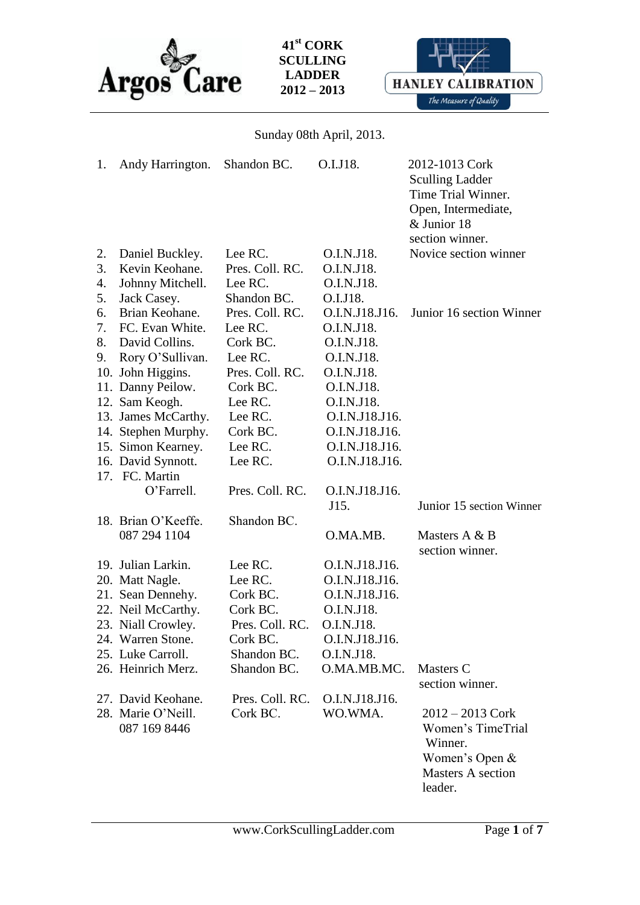



Sunday 08th April, 2013.

| 1. | Andy Harrington.                   | Shandon BC.     | O.I.J18.       | 2012-1013 Cork<br><b>Sculling Ladder</b><br>Time Trial Winner.<br>Open, Intermediate,<br>& Junior 18<br>section winner. |
|----|------------------------------------|-----------------|----------------|-------------------------------------------------------------------------------------------------------------------------|
| 2. | Daniel Buckley.                    | Lee RC.         | O.I.N.J18.     | Novice section winner                                                                                                   |
| 3. | Kevin Keohane.                     | Pres. Coll. RC. | O.I.N.J18.     |                                                                                                                         |
| 4. | Johnny Mitchell.                   | Lee RC.         | O.I.N.J18.     |                                                                                                                         |
| 5. | Jack Casey.                        | Shandon BC.     | O.I.J18.       |                                                                                                                         |
| 6. | Brian Keohane.                     | Pres. Coll. RC. | O.I.N.J18.J16. | Junior 16 section Winner                                                                                                |
| 7. | FC. Evan White.                    | Lee RC.         | O.I.N.J18.     |                                                                                                                         |
| 8. | David Collins.                     | Cork BC.        | O.I.N.J18.     |                                                                                                                         |
| 9. | Rory O'Sullivan.                   | Lee RC.         | O.I.N.J18.     |                                                                                                                         |
|    | 10. John Higgins.                  | Pres. Coll. RC. | O.I.N.J18.     |                                                                                                                         |
|    | 11. Danny Peilow.                  | Cork BC.        | O.I.N.J18.     |                                                                                                                         |
|    | 12. Sam Keogh.                     | Lee RC.         | O.I.N.J18.     |                                                                                                                         |
|    | 13. James McCarthy.                | Lee RC.         | O.I.N.J18.J16. |                                                                                                                         |
|    | 14. Stephen Murphy.                | Cork BC.        | O.I.N.J18.J16. |                                                                                                                         |
|    | 15. Simon Kearney.                 | Lee RC.         | O.I.N.J18.J16. |                                                                                                                         |
|    | 16. David Synnott.                 | Lee RC.         | O.I.N.J18.J16. |                                                                                                                         |
|    | 17. FC. Martin                     |                 |                |                                                                                                                         |
|    | O'Farrell.                         | Pres. Coll. RC. | O.I.N.J18.J16. |                                                                                                                         |
|    |                                    |                 | J15.           | Junior 15 section Winner                                                                                                |
|    | 18. Brian O'Keeffe.                | Shandon BC.     |                |                                                                                                                         |
|    | 087 294 1104                       |                 | O.MA.MB.       | Masters A & B<br>section winner.                                                                                        |
|    | 19. Julian Larkin.                 | Lee RC.         | O.I.N.J18.J16. |                                                                                                                         |
|    | 20. Matt Nagle.                    | Lee RC.         | O.I.N.J18.J16. |                                                                                                                         |
|    | 21. Sean Dennehy.                  | Cork BC.        | O.I.N.J18.J16. |                                                                                                                         |
|    | 22. Neil McCarthy.                 | Cork BC.        | O.I.N.J18.     |                                                                                                                         |
|    | 23. Niall Crowley.                 | Pres. Coll. RC. | O.I.N.J18.     |                                                                                                                         |
|    | 24. Warren Stone.                  | Cork BC.        | O.I.N.J18.J16. |                                                                                                                         |
|    | 25. Luke Carroll.                  | Shandon BC.     | O.I.N.J18.     |                                                                                                                         |
|    | 26. Heinrich Merz.                 | Shandon BC.     | O.MA.MB.MC.    | Masters C<br>section winner.                                                                                            |
|    | 27. David Keohane.                 | Pres. Coll. RC. | O.I.N.J18.J16. |                                                                                                                         |
|    | 28. Marie O'Neill.<br>087 169 8446 | Cork BC.        | WO.WMA.        | $2012 - 2013$ Cork<br>Women's TimeTrial<br>Winner.<br>Women's Open &<br>Masters A section                               |
|    |                                    |                 |                | leader.                                                                                                                 |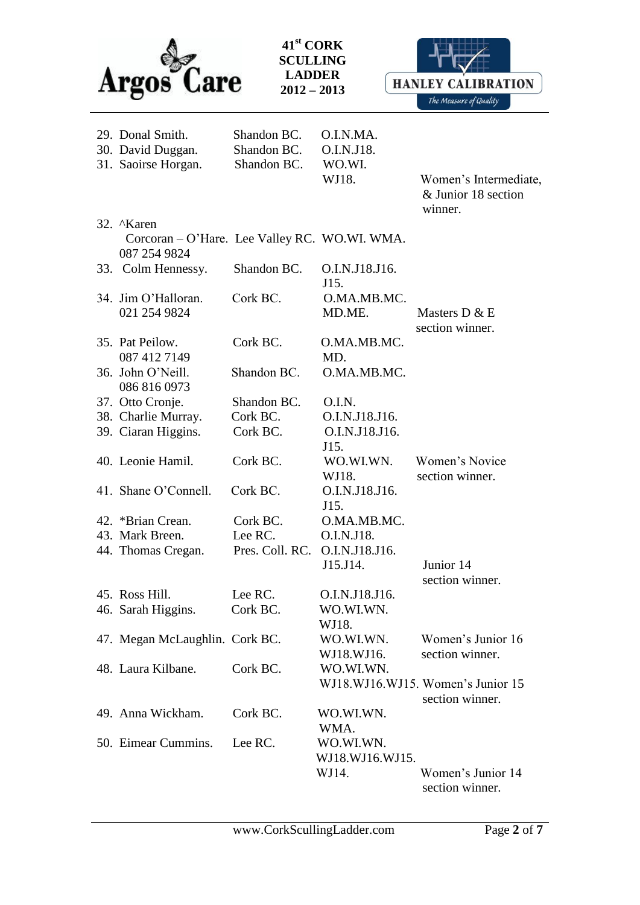



Women's Intermediate, & Junior 18 section

| 29. Donal Smith.<br>30. David Duggan.<br>31. Saoirse Horgan.               | Shandon BC.<br>Shandon BC.<br>Shandon BC. | O.I.N.MA.<br>O.I.N.J18.<br>WO.WI.<br>WJ18. | Women<br>$&$ Junic<br>winner. |
|----------------------------------------------------------------------------|-------------------------------------------|--------------------------------------------|-------------------------------|
| 32. Naren<br>Corcoran – O'Hare. Lee Valley RC. WO.WI. WMA.<br>087 254 9824 |                                           |                                            |                               |
| 33. Colm Hennessy.                                                         | Shandon BC. O.I.N.J18.J16.                | T15                                        |                               |

**41st CORK SCULLING LADDER 2012 – 2013**

|                                |                 | J15.            |                                   |
|--------------------------------|-----------------|-----------------|-----------------------------------|
| 34. Jim O'Halloran.            | Cork BC.        | O.MA.MB.MC.     |                                   |
| 021 254 9824                   |                 | MD.ME.          | Masters D & E                     |
|                                |                 |                 | section winner.                   |
| 35. Pat Peilow.                | Cork BC.        | O.MA.MB.MC.     |                                   |
| 087 412 7149                   |                 | MD.             |                                   |
| 36. John O'Neill.              | Shandon BC.     | O.MA.MB.MC.     |                                   |
| 086 816 0973                   |                 |                 |                                   |
| 37. Otto Cronje.               | Shandon BC.     | O.I.N.          |                                   |
| 38. Charlie Murray.            | Cork BC.        | O.I.N.J18.J16.  |                                   |
| 39. Ciaran Higgins.            | Cork BC.        | O.I.N.J18.J16.  |                                   |
|                                |                 | J15.            |                                   |
| 40. Leonie Hamil.              | Cork BC.        | WO.WI.WN.       | Women's Novice                    |
|                                |                 |                 | section winner.                   |
|                                |                 | WJ18.           |                                   |
| 41. Shane O'Connell.           | Cork BC.        | O.I.N.J18.J16.  |                                   |
|                                |                 | J15.            |                                   |
| 42. *Brian Crean.              | Cork BC.        | O.MA.MB.MC.     |                                   |
| 43. Mark Breen.                | Lee RC.         | O.I.N.J18.      |                                   |
| 44. Thomas Cregan.             | Pres. Coll. RC. | O.I.N.J18.J16.  |                                   |
|                                |                 | J15.J14.        | Junior 14                         |
|                                |                 |                 | section winner.                   |
| 45. Ross Hill.                 | Lee RC.         | O.I.N.J18.J16.  |                                   |
| 46. Sarah Higgins.             | Cork BC.        | WO.WI.WN.       |                                   |
|                                |                 | WJ18.           |                                   |
| 47. Megan McLaughlin. Cork BC. |                 | WO.WI.WN.       | Women's Junior 16                 |
|                                |                 | WJ18.WJ16.      | section winner.                   |
| 48. Laura Kilbane.             | Cork BC.        | WO.WI.WN.       |                                   |
|                                |                 |                 | WJ18.WJ16.WJ15. Women's Junior 15 |
|                                |                 |                 | section winner.                   |
| 49. Anna Wickham.              | Cork BC.        | WO.WI.WN.       |                                   |
|                                |                 | WMA.            |                                   |
| 50. Eimear Cummins.            | Lee RC.         | WO.WI.WN.       |                                   |
|                                |                 | WJ18.WJ16.WJ15. |                                   |
|                                |                 | WJ14.           | Women's Junior 14                 |

section winner.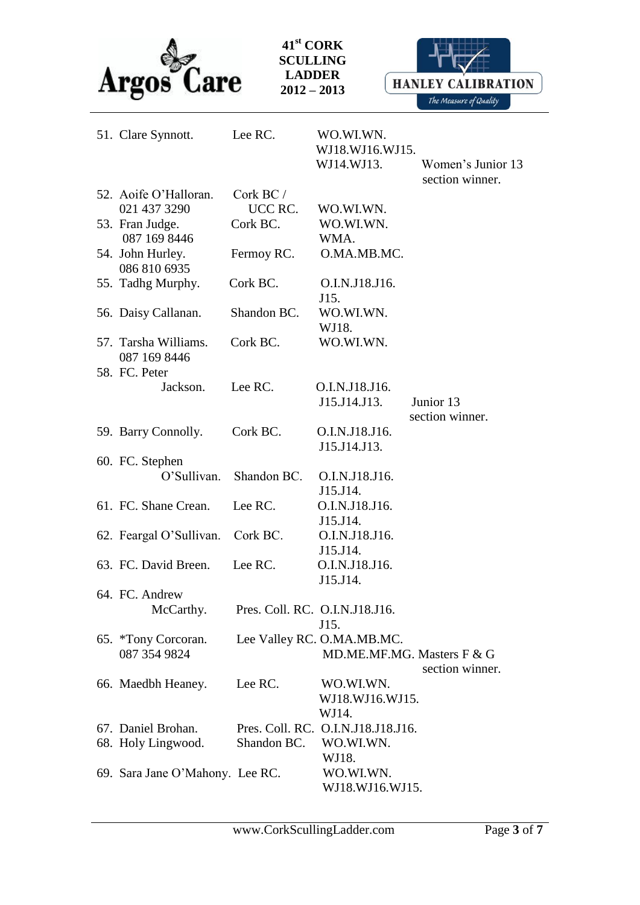



| 51. Clare Synnott.                   | Lee RC.                        | WO.WI.WN.<br>WJ18.WJ16.WJ15. |                                      |
|--------------------------------------|--------------------------------|------------------------------|--------------------------------------|
|                                      |                                | WJ14.WJ13.                   | Women's Junior 13<br>section winner. |
| 52. Aoife O'Halloran.                | $\operatorname{Cork}$ BC /     |                              |                                      |
| 021 437 3290                         | UCC RC.                        | WO.WI.WN.                    |                                      |
| 53. Fran Judge.                      | Cork BC.                       | WO.WI.WN.                    |                                      |
| 087 169 8446                         |                                | WMA.                         |                                      |
| 54. John Hurley.<br>086 810 6935     | Fermoy RC.                     | O.MA.MB.MC.                  |                                      |
| 55. Tadhg Murphy.                    | Cork BC.                       | O.I.N.J18.J16.<br>J15.       |                                      |
| 56. Daisy Callanan.                  | Shandon BC.                    | WO.WI.WN.<br>WJ18.           |                                      |
| 57. Tarsha Williams.<br>087 169 8446 | Cork BC.                       | WO.WI.WN.                    |                                      |
| 58. FC. Peter                        |                                |                              |                                      |
| Jackson.                             | Lee RC.                        | O.I.N.J18.J16.               |                                      |
|                                      |                                | J15.J14.J13.                 | Junior 13<br>section winner.         |
| 59. Barry Connolly.                  | Cork BC.                       | O.I.N.J18.J16.               |                                      |
|                                      |                                | J15.J14.J13.                 |                                      |
| 60. FC. Stephen                      |                                |                              |                                      |
| O'Sullivan.                          | Shandon BC.                    | O.I.N.J18.J16.               |                                      |
|                                      |                                | J15.J14.                     |                                      |
| 61. FC. Shane Crean.                 | Lee RC.                        | O.I.N.J18.J16.               |                                      |
|                                      |                                | J15.J14.                     |                                      |
| 62. Feargal O'Sullivan.              | Cork BC.                       | O.I.N.J18.J16.               |                                      |
|                                      |                                | J15.J14.                     |                                      |
| 63. FC. David Breen.                 | Lee RC.                        | O.I.N.J18.J16.<br>J15.J14.   |                                      |
| 64. FC. Andrew                       |                                |                              |                                      |
| McCarthy.                            | Pres. Coll. RC. O.I.N.J18.J16. |                              |                                      |
|                                      |                                | J15.                         |                                      |
| 65. *Tony Corcoran.                  |                                | Lee Valley RC. O.MA.MB.MC.   |                                      |
| 087 354 9824                         |                                | MD.ME.MF.MG. Masters F & G   |                                      |
|                                      |                                |                              | section winner.                      |
| 66. Maedbh Heaney.                   | Lee RC.                        | WO.WI.WN.                    |                                      |
|                                      |                                | WJ18.WJ16.WJ15.              |                                      |
|                                      |                                | WJ14.                        |                                      |
| 67. Daniel Brohan.                   | Pres. Coll. RC.                | O.I.N.J18.J18.J16.           |                                      |
| 68. Holy Lingwood.                   | Shandon BC.                    | WO.WI.WN.                    |                                      |
|                                      |                                | WJ18.                        |                                      |
| 69. Sara Jane O'Mahony. Lee RC.      |                                | WO.WI.WN.                    |                                      |
|                                      |                                | WJ18.WJ16.WJ15.              |                                      |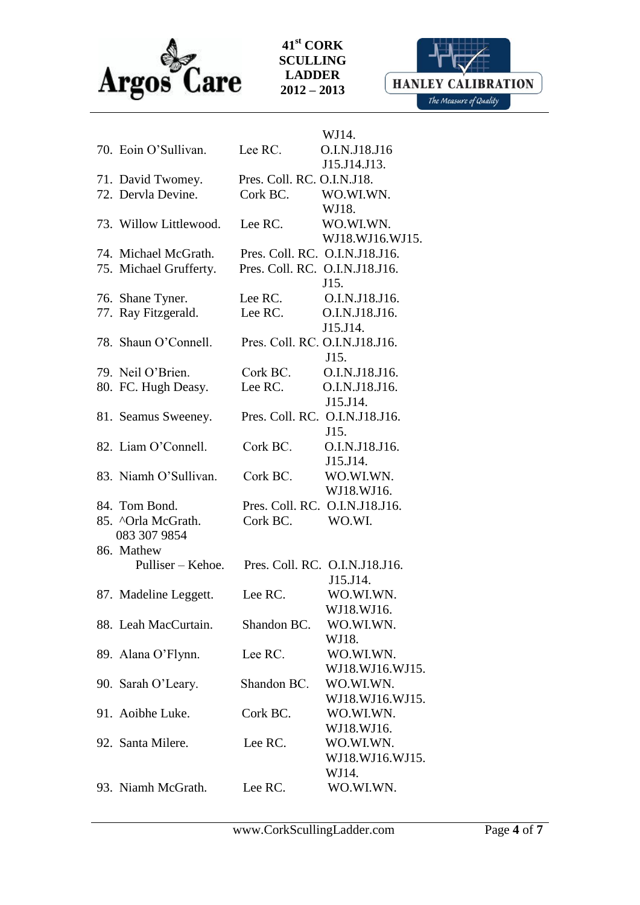

**HANLEY CALIBRATION** The Measure of Quality

|                                 |                                | WJ14.                          |
|---------------------------------|--------------------------------|--------------------------------|
| 70. Eoin O'Sullivan.            | Lee RC.                        | O.I.N.J18.J16                  |
|                                 |                                | J15.J14.J13.                   |
| 71. David Twomey.               | Pres. Coll. RC. O.I.N.J18.     |                                |
| 72. Dervla Devine.              | Cork BC.                       | WO.WI.WN.                      |
|                                 |                                | WJ18.                          |
| 73. Willow Littlewood.          | Lee RC.                        | WO.WI.WN.                      |
|                                 |                                | WJ18.WJ16.WJ15.                |
| 74. Michael McGrath.            | Pres. Coll. RC. O.I.N.J18.J16. |                                |
| 75. Michael Grufferty.          | Pres. Coll. RC. O.I.N.J18.J16. |                                |
|                                 |                                | J15.                           |
| 76. Shane Tyner.                | Lee RC.                        | O.I.N.J18.J16.                 |
| 77. Ray Fitzgerald.             | Lee RC.                        | O.I.N.J18.J16.                 |
|                                 |                                | J15.J14.                       |
| 78. Shaun O'Connell.            | Pres. Coll. RC. O.I.N.J18.J16. |                                |
|                                 |                                | J15.                           |
| 79. Neil O'Brien.               | Cork BC.                       | O.I.N.J18.J16.                 |
| 80. FC. Hugh Deasy.             | Lee RC.                        | O.I.N.J18.J16.                 |
|                                 |                                | J15.J14.                       |
| 81. Seamus Sweeney.             |                                | Pres. Coll. RC. O.I.N.J18.J16. |
|                                 |                                | J15.                           |
| 82. Liam O'Connell.             | Cork BC.                       | O.I.N.J18.J16.                 |
|                                 |                                | J15.J14.                       |
| 83. Niamh O'Sullivan.           | Cork BC.                       | WO.WI.WN.                      |
|                                 |                                | WJ18.WJ16.                     |
| 84. Tom Bond.                   |                                | Pres. Coll. RC. O.I.N.J18.J16. |
| 85. ^Orla McGrath.              | Cork BC.                       | WO.WI.                         |
| 083 307 9854                    |                                |                                |
| 86. Mathew<br>Pulliser – Kehoe. |                                |                                |
|                                 |                                | Pres. Coll. RC. O.I.N.J18.J16. |
|                                 | Lee RC.                        | J15.J14.<br>WO.WI.WN.          |
| 87. Madeline Leggett.           |                                |                                |
|                                 | Shandon BC.                    | WJ18.WJ16.                     |
| 88. Leah MacCurtain.            |                                | WO.WI.WN.<br>WJ18.             |
| 89. Alana O'Flynn.              | Lee RC.                        | WO.WI.WN.                      |
|                                 |                                | WJ18.WJ16.WJ15.                |
| 90. Sarah O'Leary.              | Shandon BC.                    | WO.WI.WN.                      |
|                                 |                                | WJ18.WJ16.WJ15.                |
| 91. Aoibhe Luke.                | Cork BC.                       | WO.WI.WN.                      |
|                                 |                                | WJ18.WJ16.                     |
| 92. Santa Milere.               | Lee RC.                        | WO.WI.WN.                      |
|                                 |                                | WJ18.WJ16.WJ15.                |
|                                 |                                | WJ14.                          |
| 93. Niamh McGrath.              | Lee RC.                        | WO.WI.WN.                      |
|                                 |                                |                                |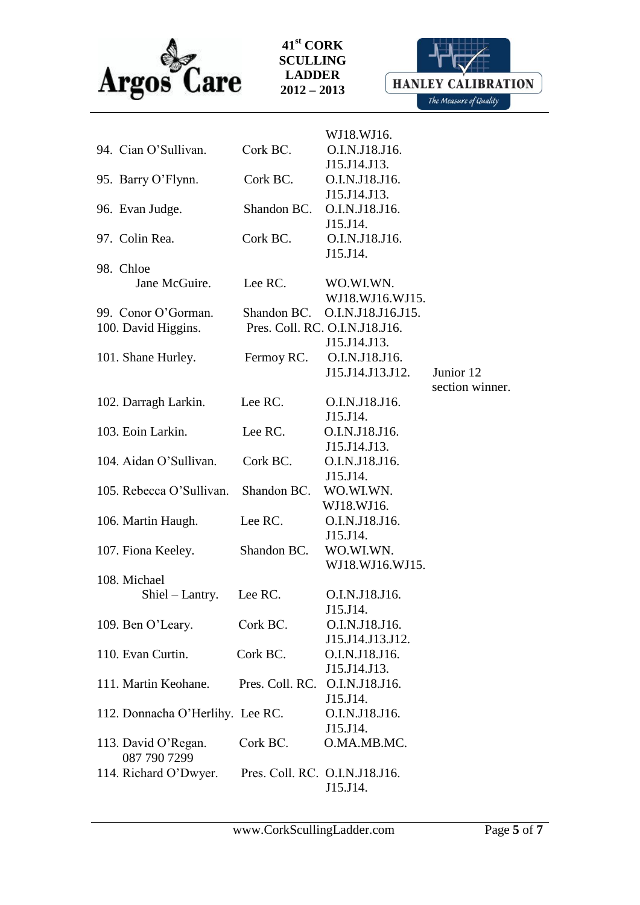



|                                  |                                | WJ18.WJ16.                     |                 |
|----------------------------------|--------------------------------|--------------------------------|-----------------|
| 94. Cian O'Sullivan.             | Cork BC.                       | O.I.N.J18.J16.                 |                 |
|                                  |                                | J15.J14.J13.                   |                 |
| 95. Barry O'Flynn.               | Cork BC.                       | O.I.N.J18.J16.                 |                 |
|                                  |                                | J15.J14.J13.                   |                 |
| 96. Evan Judge.                  | Shandon BC.                    | O.I.N.J18.J16.                 |                 |
|                                  |                                | J15.J14.                       |                 |
| 97. Colin Rea.                   | Cork BC.                       | O.I.N.J18.J16.                 |                 |
|                                  |                                | J15.J14.                       |                 |
| 98. Chloe                        |                                |                                |                 |
| Jane McGuire.                    | Lee RC.                        | WO.WI.WN.                      |                 |
|                                  |                                | WJ18.WJ16.WJ15.                |                 |
| 99. Conor O'Gorman.              | Shandon BC.                    | O.I.N.J18.J16.J15.             |                 |
| 100. David Higgins.              |                                | Pres. Coll. RC. O.I.N.J18.J16. |                 |
|                                  |                                | J15.J14.J13.                   |                 |
|                                  |                                | O.I.N.J18.J16.                 |                 |
| 101. Shane Hurley.               | Fermoy RC.                     |                                |                 |
|                                  |                                | J15.J14.J13.J12.               | Junior 12       |
|                                  |                                |                                | section winner. |
| 102. Darragh Larkin.             | Lee RC.                        | O.I.N.J18.J16.                 |                 |
|                                  |                                | J15.J14.                       |                 |
| 103. Eoin Larkin.                | Lee RC.                        | O.I.N.J18.J16.                 |                 |
|                                  |                                | J15.J14.J13.                   |                 |
| 104. Aidan O'Sullivan.           | Cork BC.                       | O.I.N.J18.J16.                 |                 |
|                                  |                                | J15.J14.                       |                 |
| 105. Rebecca O'Sullivan.         | Shandon BC. WO.WI.WN.          |                                |                 |
|                                  |                                | WJ18.WJ16.                     |                 |
| 106. Martin Haugh.               | Lee RC.                        | O.I.N.J18.J16.                 |                 |
|                                  |                                | J15.J14.                       |                 |
| 107. Fiona Keeley.               | Shandon BC.                    | WO.WI.WN.                      |                 |
|                                  |                                | WJ18.WJ16.WJ15.                |                 |
| 108. Michael                     |                                |                                |                 |
| Shiel – Lantry.                  | Lee RC.                        | O.I.N.J18.J16.                 |                 |
|                                  |                                | J15.J14.                       |                 |
| 109. Ben O'Leary.                | Cork BC.                       | O.I.N.J18.J16.                 |                 |
|                                  |                                | J15.J14.J13.J12.               |                 |
| 110. Evan Curtin.                | Cork BC.                       | O.I.N.J18.J16.                 |                 |
|                                  |                                | J15.J14.J13.                   |                 |
| 111. Martin Keohane.             | Pres. Coll. RC. O.I.N.J18.J16. |                                |                 |
|                                  |                                | J15.J14.                       |                 |
| 112. Donnacha O'Herlihy. Lee RC. |                                | O.I.N.J18.J16.                 |                 |
|                                  |                                | J15.J14.                       |                 |
| 113. David O'Regan.              | Cork BC.                       | O.MA.MB.MC.                    |                 |
| 087 790 7299                     |                                |                                |                 |
| 114. Richard O'Dwyer.            | Pres. Coll. RC. O.I.N.J18.J16. |                                |                 |
|                                  |                                | J15.J14.                       |                 |
|                                  |                                |                                |                 |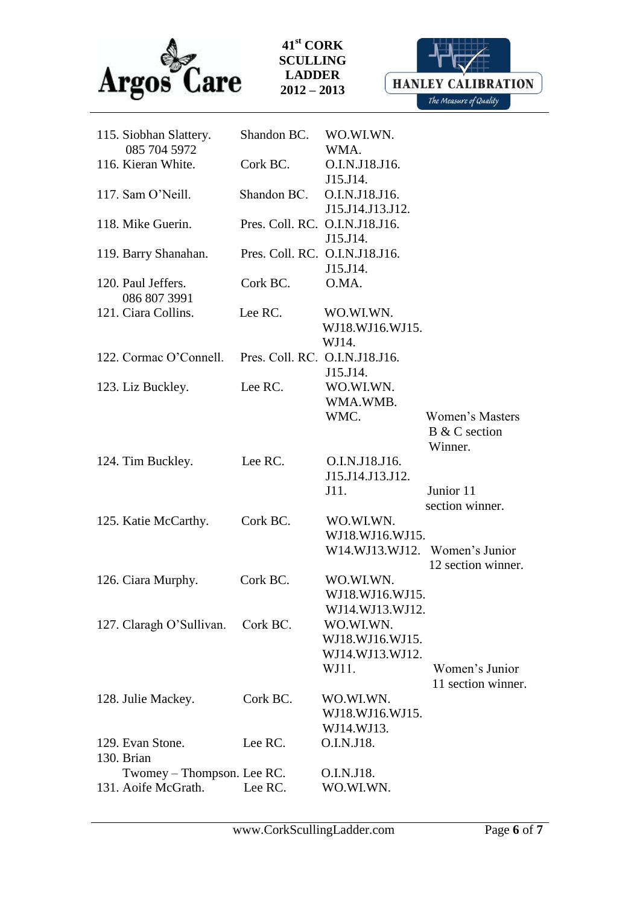

**HANLEY CALIBRATION** The Measure of Quality

| 115. Siobhan Slattery.         | Shandon BC.                    | WO.WI.WN.                          |                        |
|--------------------------------|--------------------------------|------------------------------------|------------------------|
| 085 704 5972                   |                                | WMA.                               |                        |
| 116. Kieran White.             | Cork BC.                       | O.I.N.J18.J16.                     |                        |
| 117. Sam O'Neill.              | Shandon BC.                    | J15.J14.<br>O.I.N.J18.J16.         |                        |
|                                |                                | J15.J14.J13.J12.                   |                        |
| 118. Mike Guerin.              | Pres. Coll. RC. O.I.N.J18.J16. |                                    |                        |
|                                |                                | J15.J14.                           |                        |
| 119. Barry Shanahan.           |                                | Pres. Coll. RC. O.I.N.J18.J16.     |                        |
|                                |                                | J15.J14.                           |                        |
| 120. Paul Jeffers.             | Cork BC.                       | O.MA.                              |                        |
| 086 807 3991                   |                                |                                    |                        |
| 121. Ciara Collins.            | Lee RC.                        | WO.WI.WN.                          |                        |
|                                |                                | WJ18.WJ16.WJ15.                    |                        |
|                                |                                | WJ14.                              |                        |
| 122. Cormac O'Connell.         | Pres. Coll. RC. O.I.N.J18.J16. |                                    |                        |
|                                |                                | J15.J14.                           |                        |
| 123. Liz Buckley.              | Lee RC.                        | WO.WI.WN.                          |                        |
|                                |                                | WMA.WMB.                           |                        |
|                                |                                | WMC.                               | <b>Women's Masters</b> |
|                                |                                |                                    | B & C section          |
|                                | Lee RC.                        |                                    | Winner.                |
| 124. Tim Buckley.              |                                | O.I.N.J18.J16.<br>J15.J14.J13.J12. |                        |
|                                |                                | J11.                               | Junior 11              |
|                                |                                |                                    | section winner.        |
| 125. Katie McCarthy.           | Cork BC.                       | WO.WI.WN.                          |                        |
|                                |                                | WJ18.WJ16.WJ15.                    |                        |
|                                |                                | W14.WJ13.WJ12. Women's Junior      |                        |
|                                |                                |                                    | 12 section winner.     |
| 126. Ciara Murphy.             | Cork BC.                       | WO.WI.WN.                          |                        |
|                                |                                | WJ18.WJ16.WJ15.                    |                        |
|                                |                                | WJ14.WJ13.WJ12                     |                        |
| 127. Claragh O'Sullivan.       | Cork BC.                       | WO.WI.WN.                          |                        |
|                                |                                | WJ18.WJ16.WJ15.                    |                        |
|                                |                                | WJ14.WJ13.WJ12.                    |                        |
|                                |                                | WJ11.                              | Women's Junior         |
|                                |                                |                                    | 11 section winner.     |
| 128. Julie Mackey.             | Cork BC.                       | WO.WI.WN.                          |                        |
|                                |                                | WJ18.WJ16.WJ15.                    |                        |
|                                |                                | WJ14.WJ13.                         |                        |
| 129. Evan Stone.<br>130. Brian | Lee RC.                        | O.I.N.J18.                         |                        |
| Twomey - Thompson. Lee RC.     |                                | O.I.N.J18.                         |                        |
| 131. Aoife McGrath.            | Lee RC.                        | WO.WI.WN.                          |                        |
|                                |                                |                                    |                        |